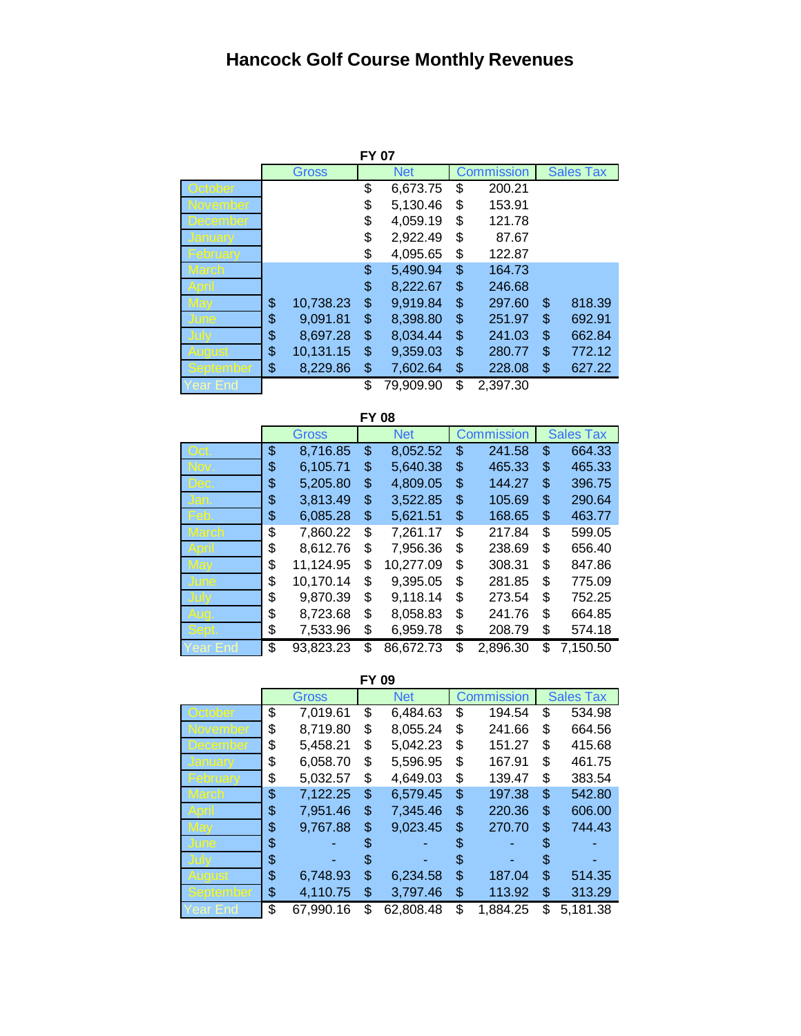## **Hancock Golf Course Monthly Revenues**

|           |                 | <b>FY 07</b> |           |            |          |                  |        |
|-----------|-----------------|--------------|-----------|------------|----------|------------------|--------|
|           | Gross           | <b>Net</b>   |           | Commission |          | <b>Sales Tax</b> |        |
| October   |                 | \$           | 6,673.75  | \$         | 200.21   |                  |        |
| November  |                 | \$           | 5,130.46  | \$         | 153.91   |                  |        |
| December  |                 | \$           | 4,059.19  | \$         | 121.78   |                  |        |
| Januarv   |                 | \$           | 2,922.49  | \$         | 87.67    |                  |        |
| -ebruarv  |                 | \$           | 4,095.65  | \$         | 122.87   |                  |        |
| 1arch     |                 | \$           | 5,490.94  | \$         | 164.73   |                  |        |
|           |                 | \$           | 8,222.67  | \$         | 246.68   |                  |        |
|           | \$<br>10,738.23 | \$           | 9,919.84  | \$         | 297.60   | \$               | 818.39 |
| June      | \$<br>9,091.81  | \$           | 8,398.80  | \$         | 251.97   | \$               | 692.91 |
|           | \$<br>8,697.28  | \$           | 8.034.44  | \$         | 241.03   | \$               | 662.84 |
| August    | \$<br>10,131.15 | \$           | 9,359.03  | \$         | 280.77   | \$               | 772.12 |
| September | \$<br>8,229.86  | \$           | 7,602.64  | \$         | 228.08   | \$               | 627.22 |
| ′ear End  |                 | \$           | 79,909.90 | \$         | 2.397.30 |                  |        |

**FY 08** Gross Net Commission Sales Tax Oct. \$ 8,716.85 \$ 8,052.52 \$ 241.58 \$ 664.33 Nov. \$ 6,105.71 \$ 5,640.38 \$ 465.33 \$ 465.33 Dec. \$ 5,205.80 \$ 4,809.05 \$ 144.27 \$ 396.75 Jan. \$ 3,813.49 \$ 3,522.85 \$ 105.69 \$ 290.64 Feb. \$ 6,085.28 \$ 5,621.51 \$ 168.65 \$ 463.77 March \$ 7,860.22 \$ 7,261.17 \$ 217.84 \$ 599.05 April \$ 8,612.76 \$ 7,956.36 \$ 238.69 \$ 656.40 May \$ 11,124.95 \$ 10,277.09 \$ 308.31 \$ 847.86 June \$ 10,170.14 \$ 9,395.05 \$ 281.85 \$ 775.09 July \$ 9,870.39 \$ 9,118.14 \$ 273.54 \$ 752.25 \$ 8,723.68 \$ 8,058.83 \$ 241.76 \$ 664.85 \$ 7,533.96 \$ 6,959.78 \$ 208.79 \$ 574.18  $$93,823.23$   $$86,672.73$   $$2,896.30$   $$7,150.50$ 

**FY 09**

|              | Gross           |    | <b>Net</b> |    | Commission |     | <b>Sales Tax</b> |
|--------------|-----------------|----|------------|----|------------|-----|------------------|
| October      | \$<br>7,019.61  | \$ | 6,484.63   | \$ | 194.54     | \$  | 534.98           |
| November     | \$<br>8,719.80  | \$ | 8,055.24   | \$ | 241.66     | \$  | 664.56           |
| December     | \$<br>5,458.21  | \$ | 5,042.23   | \$ | 151.27     | \$  | 415.68           |
| January      | \$<br>6,058.70  | \$ | 5,596.95   | \$ | 167.91     | \$  | 461.75           |
| February     | \$<br>5,032.57  | \$ | 4,649.03   | \$ | 139.47     | \$  | 383.54           |
| <b>March</b> | \$<br>7,122.25  | \$ | 6,579.45   | \$ | 197.38     | \$  | 542.80           |
|              | \$<br>7,951.46  | \$ | 7,345.46   | \$ | 220.36     | \$  | 606.00           |
|              | \$<br>9,767.88  | \$ | 9,023.45   | \$ | 270.70     | \$  | 744.43           |
| June         | \$              | S. |            | \$ |            | \$. |                  |
|              | \$              | S  |            | S  |            | S   |                  |
| Audust       | \$<br>6,748.93  | \$ | 6,234.58   | \$ | 187.04     | \$  | 514.35           |
| September    | \$<br>4,110.75  | \$ | 3,797.46   | \$ | 113.92     | \$  | 313.29           |
| Year End     | \$<br>67,990.16 | \$ | 62,808.48  | \$ | 1,884.25   | \$  | 5,181.38         |